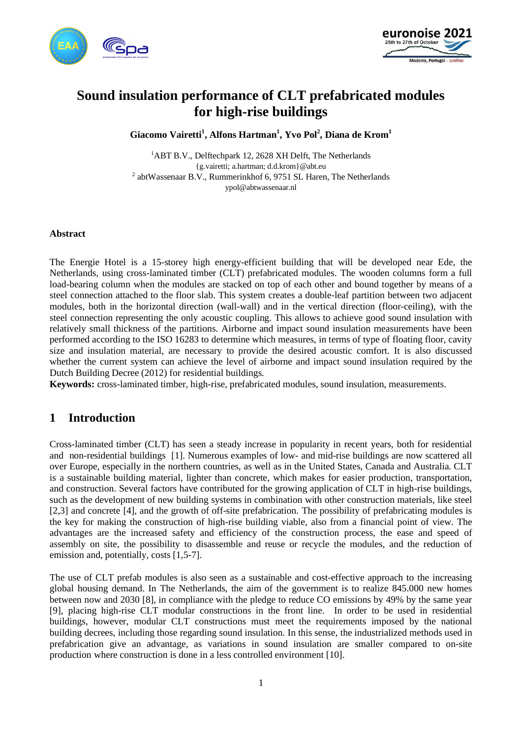



# **Sound insulation performance of CLT prefabricated modules for high-rise buildings**

**Giacomo Vairetti<sup>1</sup> , Alfons Hartman<sup>1</sup> , Yvo Pol<sup>2</sup> , Diana de Krom<sup>1</sup>**

<sup>1</sup>ABT B.V., Delftechpark 12, 2628 XH Delft, The Netherlands {g.vairetti; a.hartman; d.d.krom}@abt.eu <sup>2</sup> abtWassenaar B.V., Rummerinkhof 6, 9751 SL Haren, The Netherlands ypol@abtwassenaar.nl

#### **Abstract**

The Energie Hotel is a 15-storey high energy-efficient building that will be developed near Ede, the Netherlands, using cross-laminated timber (CLT) prefabricated modules. The wooden columns form a full load-bearing column when the modules are stacked on top of each other and bound together by means of a steel connection attached to the floor slab. This system creates a double-leaf partition between two adjacent modules, both in the horizontal direction (wall-wall) and in the vertical direction (floor-ceiling), with the steel connection representing the only acoustic coupling. This allows to achieve good sound insulation with relatively small thickness of the partitions. Airborne and impact sound insulation measurements have been performed according to the ISO 16283 to determine which measures, in terms of type of floating floor, cavity size and insulation material, are necessary to provide the desired acoustic comfort. It is also discussed whether the current system can achieve the level of airborne and impact sound insulation required by the Dutch Building Decree (2012) for residential buildings.

**Keywords:** cross-laminated timber, high-rise, prefabricated modules, sound insulation, measurements.

# **1 Introduction**

Cross-laminated timber (CLT) has seen a steady increase in popularity in recent years, both for residential and non-residential buildings [1]. Numerous examples of low- and mid-rise buildings are now scattered all over Europe, especially in the northern countries, as well as in the United States, Canada and Australia. CLT is a sustainable building material, lighter than concrete, which makes for easier production, transportation, and construction. Several factors have contributed for the growing application of CLT in high-rise buildings, such as the development of new building systems in combination with other construction materials, like steel [2,3] and concrete [4], and the growth of off-site prefabrication. The possibility of prefabricating modules is the key for making the construction of high-rise building viable, also from a financial point of view. The advantages are the increased safety and efficiency of the construction process, the ease and speed of assembly on site, the possibility to disassemble and reuse or recycle the modules, and the reduction of emission and, potentially, costs [1,5-7].

The use of CLT prefab modules is also seen as a sustainable and cost-effective approach to the increasing global housing demand. In The Netherlands, the aim of the government is to realize 845.000 new homes between now and 2030 [8], in compliance with the pledge to reduce CO emissions by 49% by the same year [9], placing high-rise CLT modular constructions in the front line. In order to be used in residential buildings, however, modular CLT constructions must meet the requirements imposed by the national building decrees, including those regarding sound insulation. In this sense, the industrialized methods used in prefabrication give an advantage, as variations in sound insulation are smaller compared to on-site production where construction is done in a less controlled environment [10].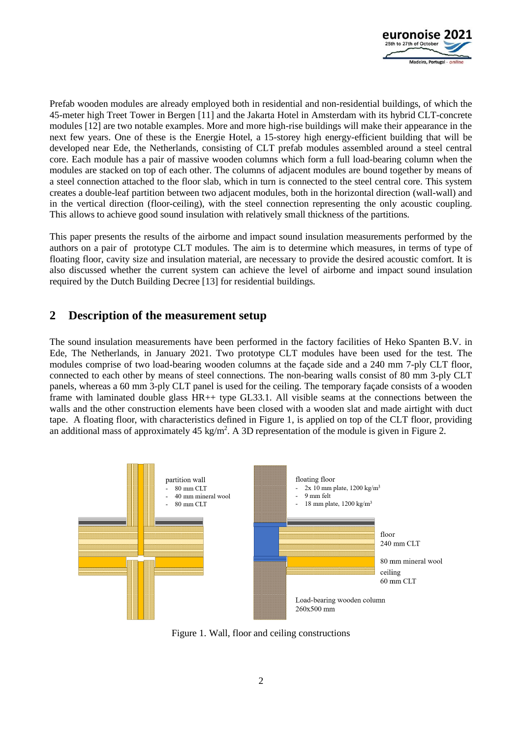

Prefab wooden modules are already employed both in residential and non-residential buildings, of which the 45-meter high Treet Tower in Bergen [11] and the Jakarta Hotel in Amsterdam with its hybrid CLT-concrete modules [12] are two notable examples. More and more high-rise buildings will make their appearance in the next few years. One of these is the Energie Hotel, a 15-storey high energy-efficient building that will be developed near Ede, the Netherlands, consisting of CLT prefab modules assembled around a steel central core. Each module has a pair of massive wooden columns which form a full load-bearing column when the modules are stacked on top of each other. The columns of adjacent modules are bound together by means of a steel connection attached to the floor slab, which in turn is connected to the steel central core. This system creates a double-leaf partition between two adjacent modules, both in the horizontal direction (wall-wall) and in the vertical direction (floor-ceiling), with the steel connection representing the only acoustic coupling. This allows to achieve good sound insulation with relatively small thickness of the partitions.

This paper presents the results of the airborne and impact sound insulation measurements performed by the authors on a pair of prototype CLT modules. The aim is to determine which measures, in terms of type of floating floor, cavity size and insulation material, are necessary to provide the desired acoustic comfort. It is also discussed whether the current system can achieve the level of airborne and impact sound insulation required by the Dutch Building Decree [13] for residential buildings.

# **2 Description of the measurement setup**

The sound insulation measurements have been performed in the factory facilities of Heko Spanten B.V. in Ede, The Netherlands, in January 2021. Two prototype CLT modules have been used for the test. The modules comprise of two load-bearing wooden columns at the façade side and a 240 mm 7-ply CLT floor, connected to each other by means of steel connections. The non-bearing walls consist of 80 mm 3-ply CLT panels, whereas a 60 mm 3-ply CLT panel is used for the ceiling. The temporary façade consists of a wooden frame with laminated double glass HR++ type GL33.1. All visible seams at the connections between the walls and the other construction elements have been closed with a wooden slat and made airtight with duct tape. A floating floor, with characteristics defined in Figure 1, is applied on top of the CLT floor, providing an additional mass of approximately 45 kg/m<sup>2</sup>. A 3D representation of the module is given in Figure 2.



Figure 1. Wall, floor and ceiling constructions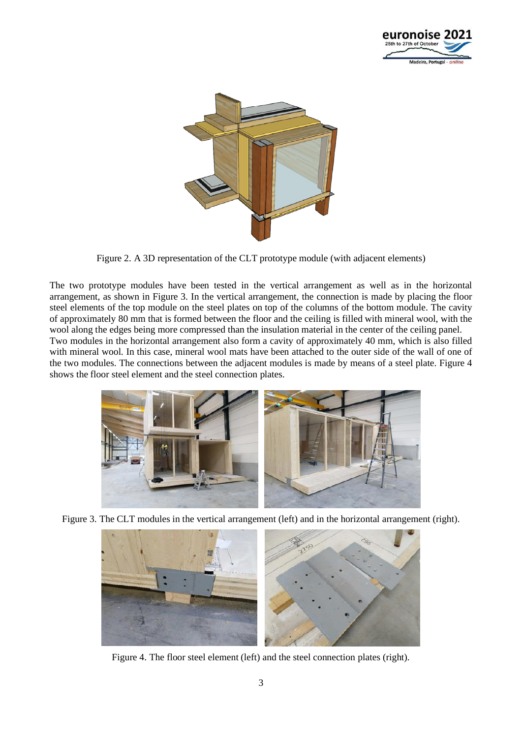



Figure 2. A 3D representation of the CLT prototype module (with adjacent elements)

The two prototype modules have been tested in the vertical arrangement as well as in the horizontal arrangement, as shown in Figure 3. In the vertical arrangement, the connection is made by placing the floor steel elements of the top module on the steel plates on top of the columns of the bottom module. The cavity of approximately 80 mm that is formed between the floor and the ceiling is filled with mineral wool, with the wool along the edges being more compressed than the insulation material in the center of the ceiling panel. Two modules in the horizontal arrangement also form a cavity of approximately 40 mm, which is also filled with mineral wool. In this case, mineral wool mats have been attached to the outer side of the wall of one of the two modules. The connections between the adjacent modules is made by means of a steel plate. Figure 4 shows the floor steel element and the steel connection plates.



Figure 3. The CLT modules in the vertical arrangement (left) and in the horizontal arrangement (right).



Figure 4. The floor steel element (left) and the steel connection plates (right).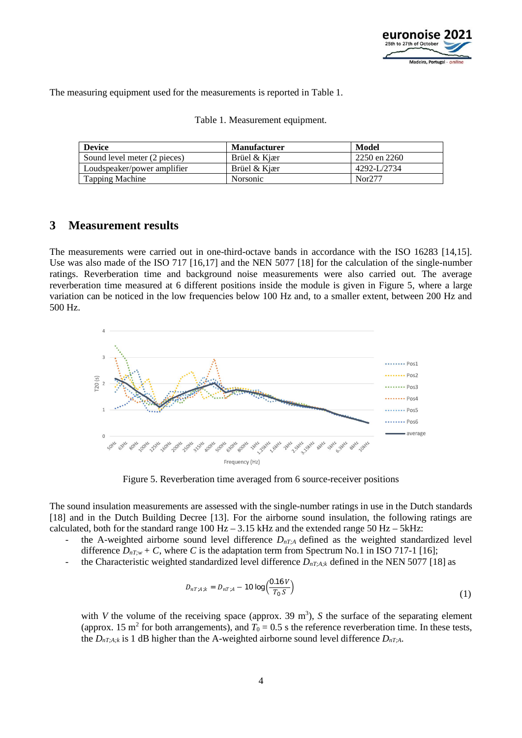

The measuring equipment used for the measurements is reported in Table 1.

| <b>Device</b>                | <b>Manufacturer</b> | Model        |
|------------------------------|---------------------|--------------|
| Sound level meter (2 pieces) | Brüel & Kjær        | 2250 en 2260 |
| Loudspeaker/power amplifier  | Brüel & Kjær        | 4292-L/2734  |
| Tapping Machine              | Norsonic            | Nor277       |

|  | Table 1. Measurement equipment. |  |
|--|---------------------------------|--|
|--|---------------------------------|--|

### **3 Measurement results**

The measurements were carried out in one-third-octave bands in accordance with the ISO 16283 [14,15]. Use was also made of the ISO 717 [16,17] and the NEN 5077 [18] for the calculation of the single-number ratings. Reverberation time and background noise measurements were also carried out. The average reverberation time measured at 6 different positions inside the module is given in Figure 5, where a large variation can be noticed in the low frequencies below 100 Hz and, to a smaller extent, between 200 Hz and 500 Hz.



Figure 5. Reverberation time averaged from 6 source-receiver positions

The sound insulation measurements are assessed with the single-number ratings in use in the Dutch standards [18] and in the Dutch Building Decree [13]. For the airborne sound insulation, the following ratings are calculated, both for the standard range  $100 \text{ Hz} - 3.15 \text{ kHz}$  and the extended range  $50 \text{ Hz} - 5 \text{ kHz}$ :

- the A-weighted airborne sound level difference  $D_{nT;A}$  defined as the weighted standardized level difference  $D_{nT; w}$  + C, where C is the adaptation term from Spectrum No.1 in ISO 717-1 [16];
- the Characteristic weighted standardized level difference  $D_{nT;A;k}$  defined in the NEN 5077 [18] as

$$
D_{nT; A; k} = D_{nT; A} - 10 \log \left( \frac{0.16 \, V}{T_0 \, S} \right) \tag{1}
$$

with *V* the volume of the receiving space (approx. 39  $m<sup>3</sup>$ ), *S* the surface of the separating element (approx. 15 m<sup>2</sup> for both arrangements), and  $T_0 = 0.5$  s the reference reverberation time. In these tests, the  $D_{nT;A;k}$  is 1 dB higher than the A-weighted airborne sound level difference  $D_{nT;A}$ .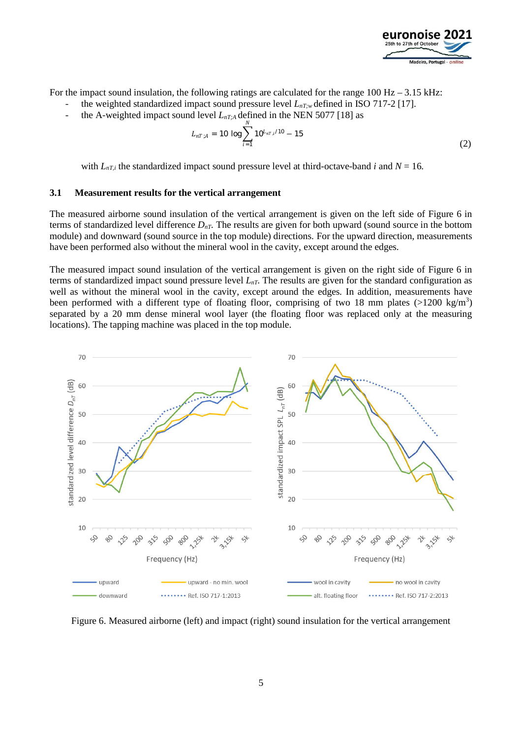

For the impact sound insulation, the following ratings are calculated for the range  $100$  Hz –  $3.15$  kHz:

- the weighted standardized impact sound pressure level  $L_{nT,w}$  defined in ISO 717-2 [17].
- the A-weighted impact sound level  $L_{nT,A}$  defined in the NEN 5077 [18] as

$$
L_{nT;A} = 10 \log \sum_{i=1}^{N} 10^{L_{nT,i}/10} - 15
$$
 (2)

with  $L_{nT,i}$  the standardized impact sound pressure level at third-octave-band *i* and  $N = 16$ .

#### **3.1 Measurement results for the vertical arrangement**

The measured airborne sound insulation of the vertical arrangement is given on the left side of Figure 6 in terms of standardized level difference  $D_{nT}$ . The results are given for both upward (sound source in the bottom module) and downward (sound source in the top module) directions. For the upward direction, measurements have been performed also without the mineral wool in the cavity, except around the edges.

The measured impact sound insulation of the vertical arrangement is given on the right side of Figure 6 in terms of standardized impact sound pressure level  $L_{nT}$ . The results are given for the standard configuration as well as without the mineral wool in the cavity, except around the edges. In addition, measurements have been performed with a different type of floating floor, comprising of two 18 mm plates (>1200 kg/m<sup>3</sup>) separated by a 20 mm dense mineral wool layer (the floating floor was replaced only at the measuring locations). The tapping machine was placed in the top module.



Figure 6. Measured airborne (left) and impact (right) sound insulation for the vertical arrangement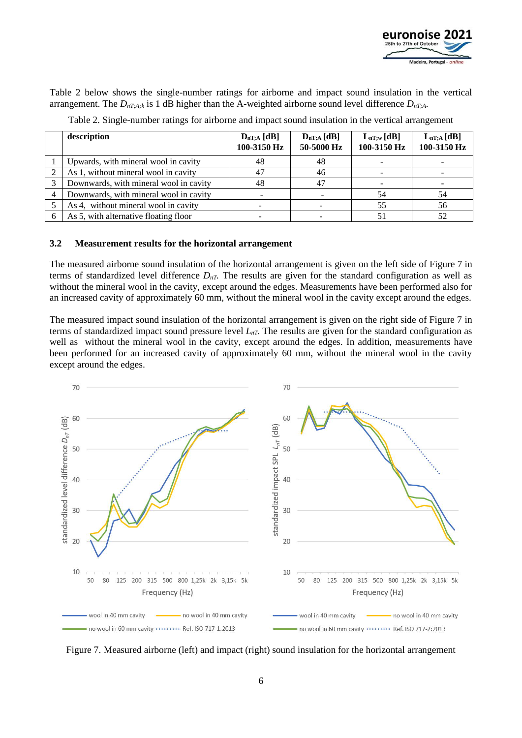

Table 2 below shows the single-number ratings for airborne and impact sound insulation in the vertical arrangement. The  $D_{nT;A;k}$  is 1 dB higher than the A-weighted airborne sound level difference  $D_{nT;A}$ .

|   | description                            | $D_{nT;A} [dB]$<br>100-3150 Hz | $D_{nT;A} [dB]$<br>50-5000 Hz | $L_{nT;w}[dB]$<br>100-3150 Hz | $L_{nT;A} [dB]$<br>100-3150 Hz |
|---|----------------------------------------|--------------------------------|-------------------------------|-------------------------------|--------------------------------|
|   | Upwards, with mineral wool in cavity   | 48                             | 48                            |                               |                                |
|   | As 1, without mineral wool in cavity   |                                | 46                            |                               |                                |
|   | Downwards, with mineral wool in cavity | 48                             | 47                            |                               |                                |
| 4 | Downwards, with mineral wool in cavity |                                |                               | 54                            | 54                             |
|   | As 4, without mineral wool in cavity   |                                |                               | 55                            | 56                             |
|   | As 5, with alternative floating floor  |                                |                               |                               | 52                             |

Table 2. Single-number ratings for airborne and impact sound insulation in the vertical arrangement

#### **3.2 Measurement results for the horizontal arrangement**

The measured airborne sound insulation of the horizontal arrangement is given on the left side of Figure 7 in terms of standardized level difference  $D_{nT}$ . The results are given for the standard configuration as well as without the mineral wool in the cavity, except around the edges. Measurements have been performed also for an increased cavity of approximately 60 mm, without the mineral wool in the cavity except around the edges.

The measured impact sound insulation of the horizontal arrangement is given on the right side of Figure 7 in terms of standardized impact sound pressure level  $L_{nT}$ . The results are given for the standard configuration as well as without the mineral wool in the cavity, except around the edges. In addition, measurements have been performed for an increased cavity of approximately 60 mm, without the mineral wool in the cavity except around the edges.



Figure 7. Measured airborne (left) and impact (right) sound insulation for the horizontal arrangement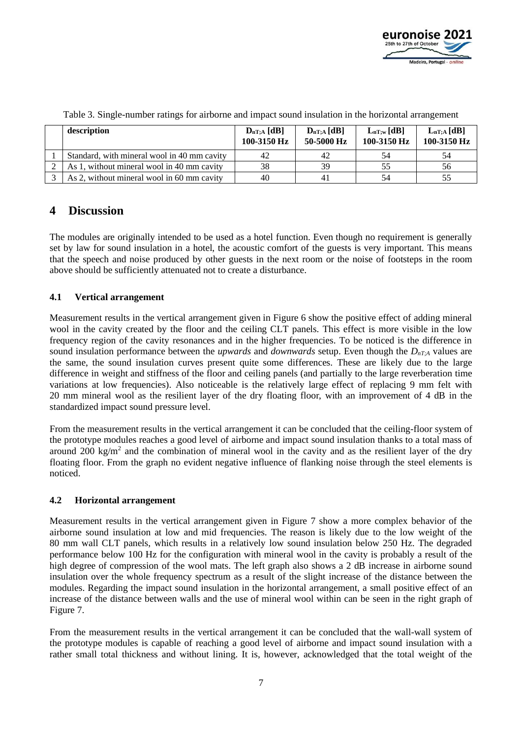

| description                                 | $D_{nT;A} [dB]$<br>100-3150 Hz | $D_{nT;A} [dB]$<br>50-5000 Hz | $L_{nT;w}$ [dB]<br>100-3150 Hz | $L_{nT;A} [dB]$<br>100-3150 Hz |
|---------------------------------------------|--------------------------------|-------------------------------|--------------------------------|--------------------------------|
| Standard, with mineral wool in 40 mm cavity | 42                             | 42                            |                                | 54                             |
| As 1, without mineral wool in 40 mm cavity  | 38                             | 39                            |                                | 56                             |
| As 2, without mineral wool in 60 mm cavity  | 40                             | 41                            |                                |                                |

Table 3. Single-number ratings for airborne and impact sound insulation in the horizontal arrangement

### **4 Discussion**

The modules are originally intended to be used as a hotel function. Even though no requirement is generally set by law for sound insulation in a hotel, the acoustic comfort of the guests is very important. This means that the speech and noise produced by other guests in the next room or the noise of footsteps in the room above should be sufficiently attenuated not to create a disturbance.

#### **4.1 Vertical arrangement**

Measurement results in the vertical arrangement given in Figure 6 show the positive effect of adding mineral wool in the cavity created by the floor and the ceiling CLT panels. This effect is more visible in the low frequency region of the cavity resonances and in the higher frequencies. To be noticed is the difference in sound insulation performance between the *upwards* and *downwards* setup. Even though the  $D_{nT}$ <sup>*A*</sup> values are the same, the sound insulation curves present quite some differences. These are likely due to the large difference in weight and stiffness of the floor and ceiling panels (and partially to the large reverberation time variations at low frequencies). Also noticeable is the relatively large effect of replacing 9 mm felt with 20 mm mineral wool as the resilient layer of the dry floating floor, with an improvement of 4 dB in the standardized impact sound pressure level.

From the measurement results in the vertical arrangement it can be concluded that the ceiling-floor system of the prototype modules reaches a good level of airborne and impact sound insulation thanks to a total mass of around 200 kg/m<sup>2</sup> and the combination of mineral wool in the cavity and as the resilient layer of the dry floating floor. From the graph no evident negative influence of flanking noise through the steel elements is noticed.

#### **4.2 Horizontal arrangement**

Measurement results in the vertical arrangement given in Figure 7 show a more complex behavior of the airborne sound insulation at low and mid frequencies. The reason is likely due to the low weight of the 80 mm wall CLT panels, which results in a relatively low sound insulation below 250 Hz. The degraded performance below 100 Hz for the configuration with mineral wool in the cavity is probably a result of the high degree of compression of the wool mats. The left graph also shows a 2 dB increase in airborne sound insulation over the whole frequency spectrum as a result of the slight increase of the distance between the modules. Regarding the impact sound insulation in the horizontal arrangement, a small positive effect of an increase of the distance between walls and the use of mineral wool within can be seen in the right graph of Figure 7.

From the measurement results in the vertical arrangement it can be concluded that the wall-wall system of the prototype modules is capable of reaching a good level of airborne and impact sound insulation with a rather small total thickness and without lining. It is, however, acknowledged that the total weight of the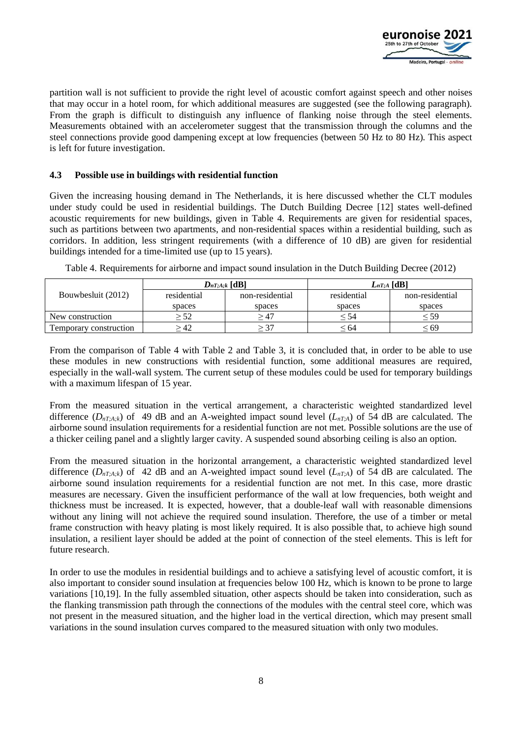

partition wall is not sufficient to provide the right level of acoustic comfort against speech and other noises that may occur in a hotel room, for which additional measures are suggested (see the following paragraph). From the graph is difficult to distinguish any influence of flanking noise through the steel elements. Measurements obtained with an accelerometer suggest that the transmission through the columns and the steel connections provide good dampening except at low frequencies (between 50 Hz to 80 Hz). This aspect is left for future investigation.

#### **4.3 Possible use in buildings with residential function**

Given the increasing housing demand in The Netherlands, it is here discussed whether the CLT modules under study could be used in residential buildings. The Dutch Building Decree [12] states well-defined acoustic requirements for new buildings, given in Table 4. Requirements are given for residential spaces, such as partitions between two apartments, and non-residential spaces within a residential building, such as corridors. In addition, less stringent requirements (with a difference of 10 dB) are given for residential buildings intended for a time-limited use (up to 15 years).

|                        | $D_{nT;A;k}$ [dB] |                 | $L_{nT;A}$ [dB <sup>1</sup> |           |  |
|------------------------|-------------------|-----------------|-----------------------------|-----------|--|
| Bouwbesluit (2012)     | residential       | non-residential | residential                 |           |  |
|                        | spaces            | spaces          | spaces                      | spaces    |  |
| New construction       | = 52              | > 47            | ≤ 54                        | ≤ 59      |  |
| Femporary construction | - 42              | $\geq$ 37       | ≤ 64                        | $\leq 69$ |  |

Table 4. Requirements for airborne and impact sound insulation in the Dutch Building Decree (2012)

From the comparison of Table 4 with Table 2 and Table 3, it is concluded that, in order to be able to use these modules in new constructions with residential function, some additional measures are required, especially in the wall-wall system. The current setup of these modules could be used for temporary buildings with a maximum lifespan of 15 year.

From the measured situation in the vertical arrangement, a characteristic weighted standardized level difference  $(D_{nT,A,k})$  of 49 dB and an A-weighted impact sound level  $(L_{nT,A})$  of 54 dB are calculated. The airborne sound insulation requirements for a residential function are not met. Possible solutions are the use of a thicker ceiling panel and a slightly larger cavity. A suspended sound absorbing ceiling is also an option.

From the measured situation in the horizontal arrangement, a characteristic weighted standardized level difference  $(D_{nT;A,k})$  of 42 dB and an A-weighted impact sound level  $(L_{nT;A})$  of 54 dB are calculated. The airborne sound insulation requirements for a residential function are not met. In this case, more drastic measures are necessary. Given the insufficient performance of the wall at low frequencies, both weight and thickness must be increased. It is expected, however, that a double-leaf wall with reasonable dimensions without any lining will not achieve the required sound insulation. Therefore, the use of a timber or metal frame construction with heavy plating is most likely required. It is also possible that, to achieve high sound insulation, a resilient layer should be added at the point of connection of the steel elements. This is left for future research.

In order to use the modules in residential buildings and to achieve a satisfying level of acoustic comfort, it is also important to consider sound insulation at frequencies below 100 Hz, which is known to be prone to large variations [10,19]. In the fully assembled situation, other aspects should be taken into consideration, such as the flanking transmission path through the connections of the modules with the central steel core, which was not present in the measured situation, and the higher load in the vertical direction, which may present small variations in the sound insulation curves compared to the measured situation with only two modules.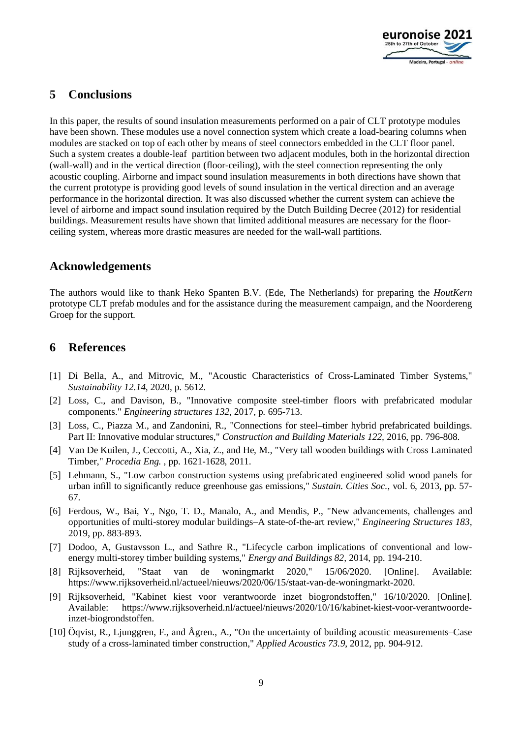

# **5 Conclusions**

In this paper, the results of sound insulation measurements performed on a pair of CLT prototype modules have been shown. These modules use a novel connection system which create a load-bearing columns when modules are stacked on top of each other by means of steel connectors embedded in the CLT floor panel. Such a system creates a double-leaf partition between two adjacent modules, both in the horizontal direction (wall-wall) and in the vertical direction (floor-ceiling), with the steel connection representing the only acoustic coupling. Airborne and impact sound insulation measurements in both directions have shown that the current prototype is providing good levels of sound insulation in the vertical direction and an average performance in the horizontal direction. It was also discussed whether the current system can achieve the level of airborne and impact sound insulation required by the Dutch Building Decree (2012) for residential buildings. Measurement results have shown that limited additional measures are necessary for the floorceiling system, whereas more drastic measures are needed for the wall-wall partitions.

### **Acknowledgements**

The authors would like to thank Heko Spanten B.V. (Ede, The Netherlands) for preparing the *HoutKern* prototype CLT prefab modules and for the assistance during the measurement campaign, and the Noordereng Groep for the support.

### **6 References**

- [1] Di Bella, A., and Mitrovic, M., "Acoustic Characteristics of Cross-Laminated Timber Systems," *Sustainability 12.14,* 2020, p. 5612.
- [2] Loss, C., and Davison, B., "Innovative composite steel-timber floors with prefabricated modular components." *Engineering structures 132*, 2017, p. 695-713.
- [3] Loss, C., Piazza M., and Zandonini, R., "Connections for steel–timber hybrid prefabricated buildings. Part II: Innovative modular structures," *Construction and Building Materials 122,* 2016, pp. 796-808.
- [4] Van De Kuilen, J., Ceccotti, A., Xia, Z., and He, M., "Very tall wooden buildings with Cross Laminated Timber," *Procedia Eng. ,* pp. 1621-1628, 2011.
- [5] Lehmann, S., "Low carbon construction systems using prefabricated engineered solid wood panels for urban infill to significantly reduce greenhouse gas emissions," *Sustain. Cities Soc.,* vol. 6, 2013, pp. 57- 67.
- [6] Ferdous, W., Bai, Y., Ngo, T. D., Manalo, A., and Mendis, P., "New advancements, challenges and opportunities of multi-storey modular buildings–A state-of-the-art review," *Engineering Structures 183,* 2019, pp. 883-893.
- [7] Dodoo, A, Gustavsson L., and Sathre R., "Lifecycle carbon implications of conventional and lowenergy multi-storey timber building systems," *Energy and Buildings 82,* 2014, pp. 194-210.
- [8] Rijksoverheid, "Staat van de woningmarkt 2020," 15/06/2020. [Online]. Available: https://www.rijksoverheid.nl/actueel/nieuws/2020/06/15/staat-van-de-woningmarkt-2020.
- [9] Rijksoverheid, "Kabinet kiest voor verantwoorde inzet biogrondstoffen," 16/10/2020. [Online]. Available: https://www.rijksoverheid.nl/actueel/nieuws/2020/10/16/kabinet-kiest-voor-verantwoordeinzet-biogrondstoffen.
- [10] Öqvist, R., Ljunggren, F., and Ågren., A., "On the uncertainty of building acoustic measurements–Case study of a cross-laminated timber construction," *Applied Acoustics 73.9*, 2012, pp. 904-912.